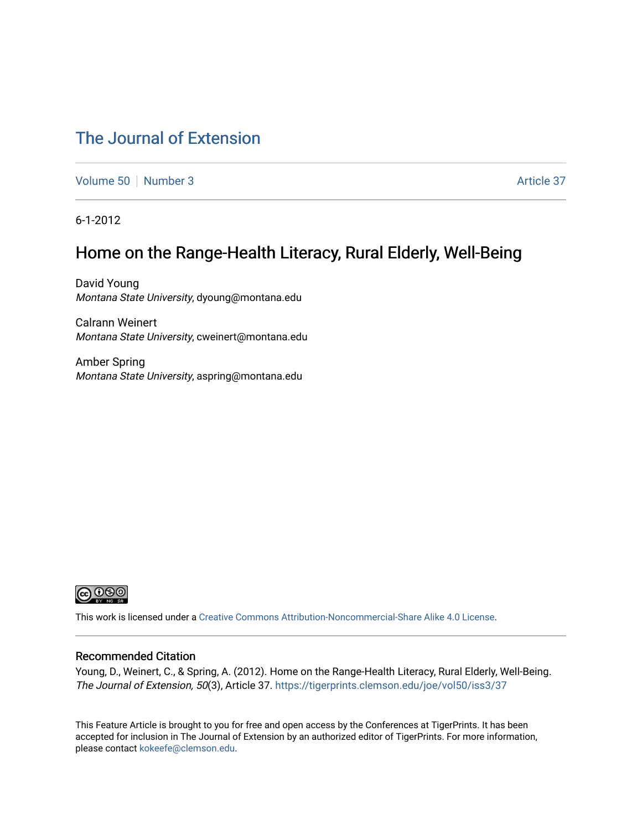# [The Journal of Extension](https://tigerprints.clemson.edu/joe)

[Volume 50](https://tigerprints.clemson.edu/joe/vol50) [Number 3](https://tigerprints.clemson.edu/joe/vol50/iss3) Article 37

6-1-2012

# Home on the Range-Health Literacy, Rural Elderly, Well-Being

David Young Montana State University, dyoung@montana.edu

Calrann Weinert Montana State University, cweinert@montana.edu

Amber Spring Montana State University, aspring@montana.edu



This work is licensed under a [Creative Commons Attribution-Noncommercial-Share Alike 4.0 License.](https://creativecommons.org/licenses/by-nc-sa/4.0/)

#### Recommended Citation

Young, D., Weinert, C., & Spring, A. (2012). Home on the Range-Health Literacy, Rural Elderly, Well-Being. The Journal of Extension, 50(3), Article 37. <https://tigerprints.clemson.edu/joe/vol50/iss3/37>

This Feature Article is brought to you for free and open access by the Conferences at TigerPrints. It has been accepted for inclusion in The Journal of Extension by an authorized editor of TigerPrints. For more information, please contact [kokeefe@clemson.edu](mailto:kokeefe@clemson.edu).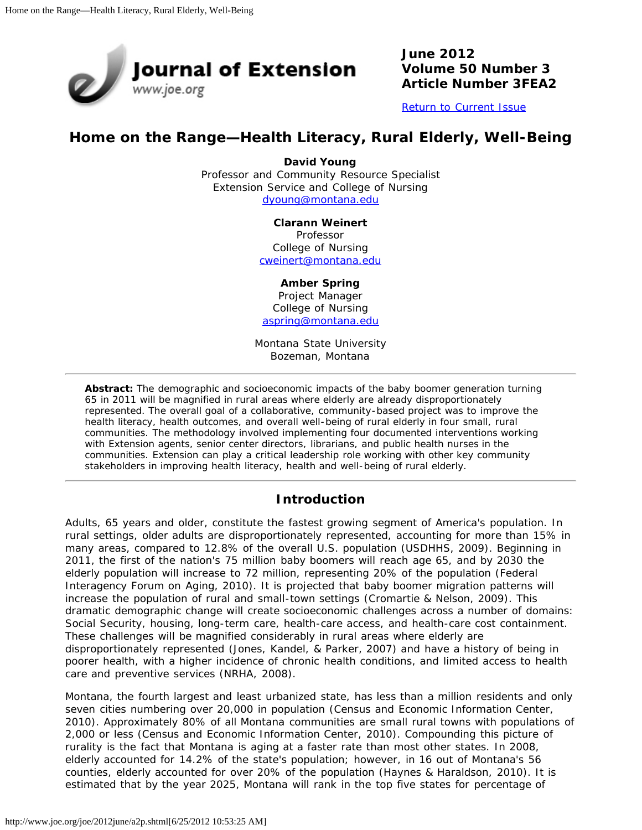

**June 2012 Volume 50 Number 3 Article Number 3FEA2**

[Return to Current Issue](http://www.joe.org/joe/2012june/)

# **Home on the Range—Health Literacy, Rural Elderly, Well-Being**

**David Young** Professor and Community Resource Specialist Extension Service and College of Nursing [dyoung@montana.edu](mailto:dyoung@montana.edu)

**Clarann Weinert**

Professor College of Nursing [cweinert@montana.edu](mailto:cweinert@montana.edu)

#### **Amber Spring**

Project Manager College of Nursing [aspring@montana.edu](mailto:aspring@montana.edu)

Montana State University Bozeman, Montana

*Abstract: The demographic and socioeconomic impacts of the baby boomer generation turning 65 in 2011 will be magnified in rural areas where elderly are already disproportionately represented. The overall goal of a collaborative, community-based project was to improve the health literacy, health outcomes, and overall well-being of rural elderly in four small, rural communities. The methodology involved implementing four documented interventions working with Extension agents, senior center directors, librarians, and public health nurses in the communities. Extension can play a critical leadership role working with other key community stakeholders in improving health literacy, health and well-being of rural elderly.*

#### **Introduction**

Adults, 65 years and older, constitute the fastest growing segment of America's population. In rural settings, older adults are disproportionately represented, accounting for more than 15% in many areas, compared to 12.8% of the overall U.S. population (USDHHS, 2009). Beginning in 2011, the first of the nation's 75 million baby boomers will reach age 65, and by 2030 the elderly population will increase to 72 million, representing 20% of the population (Federal Interagency Forum on Aging, 2010). It is projected that baby boomer migration patterns will increase the population of rural and small-town settings (Cromartie & Nelson, 2009). This dramatic demographic change will create socioeconomic challenges across a number of domains: Social Security, housing, long-term care, health-care access, and health-care cost containment. These challenges will be magnified considerably in rural areas where elderly are disproportionately represented (Jones, Kandel, & Parker, 2007) and have a history of being in poorer health, with a higher incidence of chronic health conditions, and limited access to health care and preventive services (NRHA, 2008).

Montana, the fourth largest and least urbanized state, has less than a million residents and only seven cities numbering over 20,000 in population (Census and Economic Information Center, 2010). Approximately 80% of all Montana communities are small rural towns with populations of 2,000 or less (Census and Economic Information Center, 2010). Compounding this picture of rurality is the fact that Montana is aging at a faster rate than most other states. In 2008, elderly accounted for 14.2% of the state's population; however, in 16 out of Montana's 56 counties, elderly accounted for over 20% of the population (Haynes & Haraldson, 2010). It is estimated that by the year 2025, Montana will rank in the top five states for percentage of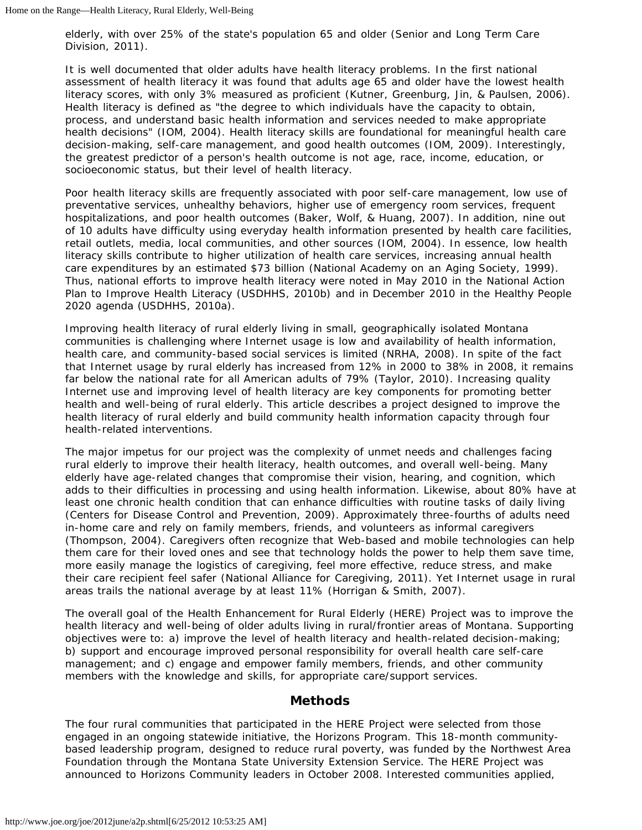elderly, with over 25% of the state's population 65 and older (Senior and Long Term Care Division, 2011).

It is well documented that older adults have health literacy problems. In the first national assessment of health literacy it was found that adults age 65 and older have the lowest health literacy scores, with only 3% measured as proficient (Kutner, Greenburg, Jin, & Paulsen, 2006). Health literacy is defined as "the degree to which individuals have the capacity to obtain, process, and understand basic health information and services needed to make appropriate health decisions" (IOM, 2004). Health literacy skills are foundational for meaningful health care decision-making, self-care management, and good health outcomes (IOM, 2009). Interestingly, the greatest predictor of a person's health outcome is not age, race, income, education, or socioeconomic status, but their level of health literacy.

Poor health literacy skills are frequently associated with poor self-care management, low use of preventative services, unhealthy behaviors, higher use of emergency room services, frequent hospitalizations, and poor health outcomes (Baker, Wolf, & Huang, 2007). In addition, nine out of 10 adults have difficulty using everyday health information presented by health care facilities, retail outlets, media, local communities, and other sources (IOM, 2004). In essence, low health literacy skills contribute to higher utilization of health care services, increasing annual health care expenditures by an estimated \$73 billion (National Academy on an Aging Society, 1999). Thus, national efforts to improve health literacy were noted in May 2010 in the *National Action Plan to Improve Health Literacy* (USDHHS, 2010b) and in December 2010 in the *Healthy People 2020* agenda (USDHHS, 2010a).

Improving health literacy of rural elderly living in small, geographically isolated Montana communities is challenging where Internet usage is low and availability of health information, health care, and community-based social services is limited (NRHA, 2008). In spite of the fact that Internet usage by rural elderly has increased from 12% in 2000 to 38% in 2008, it remains far below the national rate for all American adults of 79% (Taylor, 2010). Increasing quality Internet use and improving level of health literacy are key components for promoting better health and well-being of rural elderly. This article describes a project designed to improve the health literacy of rural elderly and build community health information capacity through four health-related interventions.

The major impetus for our project was the complexity of unmet needs and challenges facing rural elderly to improve their health literacy, health outcomes, and overall well-being. Many elderly have age-related changes that compromise their vision, hearing, and cognition, which adds to their difficulties in processing and using health information. Likewise, about 80% have at least one chronic health condition that can enhance difficulties with routine tasks of daily living (Centers for Disease Control and Prevention, 2009). Approximately three-fourths of adults need in-home care and rely on family members, friends, and volunteers as informal caregivers (Thompson, 2004). Caregivers often recognize that Web-based and mobile technologies can help them care for their loved ones and see that technology holds the power to help them save time, more easily manage the logistics of caregiving, feel more effective, reduce stress, and make their care recipient feel safer (National Alliance for Caregiving, 2011). Yet Internet usage in rural areas trails the national average by at least 11% (Horrigan & Smith, 2007).

The overall goal of the Health Enhancement for Rural Elderly (HERE) Project was to improve the health literacy and well-being of older adults living in rural/frontier areas of Montana. Supporting objectives were to: a) improve the level of health literacy and health-related decision-making; b) support and encourage improved personal responsibility for overall health care self-care management; and c) engage and empower family members, friends, and other community members with the knowledge and skills, for appropriate care/support services.

#### **Methods**

The four rural communities that participated in the HERE Project were selected from those engaged in an ongoing statewide initiative, the Horizons Program. This 18-month communitybased leadership program, designed to reduce rural poverty, was funded by the Northwest Area Foundation through the Montana State University Extension Service. The HERE Project was announced to Horizons Community leaders in October 2008. Interested communities applied,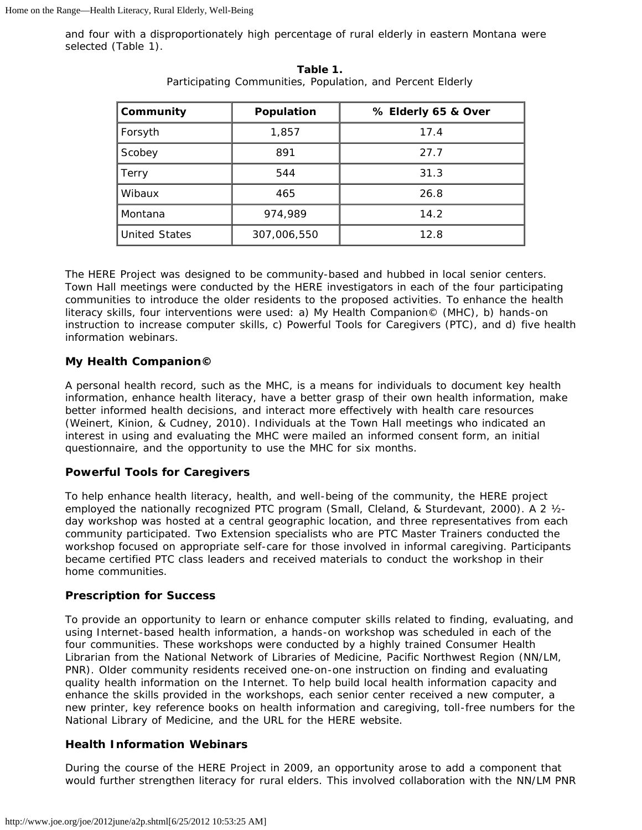and four with a disproportionately high percentage of rural elderly in eastern Montana were selected (Table 1).

| Community            | Population  | % Elderly 65 & Over |  |
|----------------------|-------------|---------------------|--|
| Forsyth              | 1,857       | 17.4                |  |
| Scobey               | 891         | 27.7                |  |
| Terry                | 544         | 31.3                |  |
| Wibaux               | 465         | 26.8                |  |
| Montana              | 974,989     | 14.2                |  |
| <b>United States</b> | 307,006,550 | 12.8                |  |

**Table 1.** Participating Communities, Population, and Percent Elderly

The HERE Project was designed to be community-based and hubbed in local senior centers. Town Hall meetings were conducted by the HERE investigators in each of the four participating communities to introduce the older residents to the proposed activities. To enhance the health literacy skills, four interventions were used: a) My Health Companion© (MHC), b) hands-on instruction to increase computer skills, c) Powerful Tools for Caregivers (PTC), and d) five health information webinars.

## **My Health Companion©**

A personal health record, such as the MHC*,* is a means for individuals to document key health information, enhance health literacy, have a better grasp of their own health information, make better informed health decisions, and interact more effectively with health care resources (Weinert, Kinion, & Cudney, 2010). Individuals at the Town Hall meetings who indicated an interest in using and evaluating the MHC were mailed an informed consent form, an initial questionnaire, and the opportunity to use the MHC for six months.

#### **Powerful Tools for Caregivers**

To help enhance health literacy, health, and well-being of the community, the HERE project employed the nationally recognized PTC program (Small, Cleland, & Sturdevant, 2000). A 2 ½ day workshop was hosted at a central geographic location, and three representatives from each community participated. Two Extension specialists who are PTC Master Trainers conducted the workshop focused on appropriate self-care for those involved in informal caregiving. Participants became certified PTC class leaders and received materials to conduct the workshop in their home communities.

#### **Prescription for Success**

To provide an opportunity to learn or enhance computer skills related to finding, evaluating, and using Internet-based health information, a hands-on workshop was scheduled in each of the four communities. These workshops were conducted by a highly trained Consumer Health Librarian from the National Network of Libraries of Medicine, Pacific Northwest Region (NN/LM, PNR). Older community residents received one-on-one instruction on finding and evaluating quality health information on the Internet. To help build local health information capacity and enhance the skills provided in the workshops, each senior center received a new computer, a new printer, key reference books on health information and caregiving, toll-free numbers for the National Library of Medicine, and the URL for the HERE website.

#### **Health Information Webinars**

During the course of the HERE Project in 2009, an opportunity arose to add a component that would further strengthen literacy for rural elders. This involved collaboration with the NN/LM PNR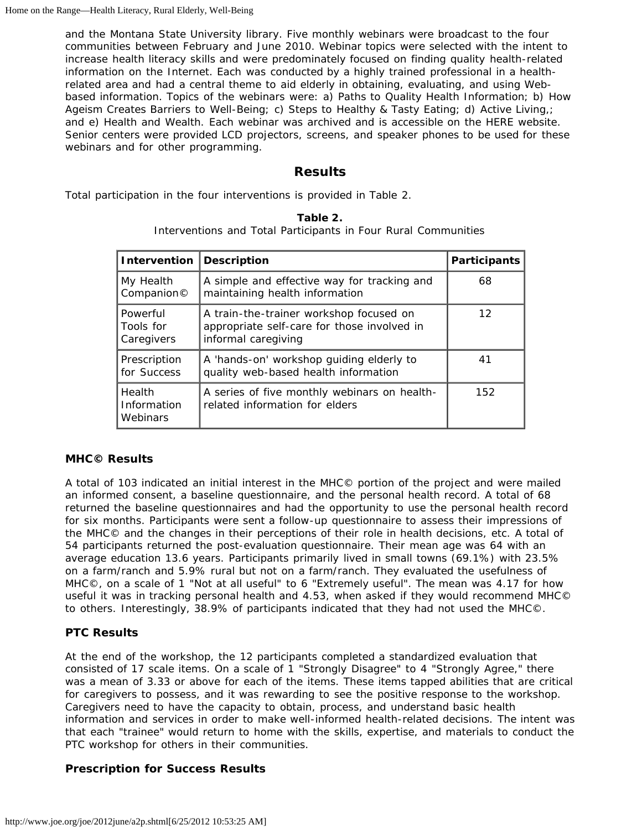and the Montana State University library. Five monthly webinars were broadcast to the four communities between February and June 2010. Webinar topics were selected with the intent to increase health literacy skills and were predominately focused on finding quality health-related information on the Internet. Each was conducted by a highly trained professional in a healthrelated area and had a central theme to aid elderly in obtaining, evaluating, and using Webbased information. Topics of the webinars were: a) Paths to Quality Health Information; b) How Ageism Creates Barriers to Well-Being; c) Steps to Healthy & Tasty Eating; d) Active Living,; and e) Health and Wealth. Each webinar was archived and is accessible on the HERE website. Senior centers were provided LCD projectors, screens, and speaker phones to be used for these webinars and for other programming.

## **Results**

Total participation in the four interventions is provided in Table 2.

| Intervention                        | <b>Description</b>                                                                                            | <b>Participants</b> |
|-------------------------------------|---------------------------------------------------------------------------------------------------------------|---------------------|
| My Health<br>Companion©             | A simple and effective way for tracking and<br>maintaining health information                                 | 68                  |
| Powerful<br>Tools for<br>Caregivers | A train-the-trainer workshop focused on<br>appropriate self-care for those involved in<br>informal caregiving | $12 \text{ }$       |
| Prescription<br>for Success         | A 'hands-on' workshop guiding elderly to<br>quality web-based health information                              | 41                  |
| Health<br>Information<br>Webinars   | A series of five monthly webinars on health-<br>related information for elders                                | 152                 |

|  | Table 2. |  |
|--|----------|--|
|  |          |  |

Interventions and Total Participants in Four Rural Communities

#### **MHC© Results**

A total of 103 indicated an initial interest in the MHC© portion of the project and were mailed an informed consent, a baseline questionnaire, and the personal health record. A total of 68 returned the baseline questionnaires and had the opportunity to use the personal health record for six months. Participants were sent a follow-up questionnaire to assess their impressions of the MHC© and the changes in their perceptions of their role in health decisions, etc. A total of 54 participants returned the post-evaluation questionnaire. Their mean age was 64 with an average education 13.6 years. Participants primarily lived in small towns (69.1%) with 23.5% on a farm/ranch and 5.9% rural but not on a farm/ranch. They evaluated the usefulness of MHC©, on a scale of 1 "Not at all useful" to 6 "Extremely useful". The mean was 4.17 for how useful it was in tracking personal health and 4.53, when asked if they would recommend MHC© to others. Interestingly, 38.9% of participants indicated that they had not used the MHC©.

# **PTC Results**

At the end of the workshop, the 12 participants completed a standardized evaluation that consisted of 17 scale items. On a scale of 1 "Strongly Disagree" to 4 "Strongly Agree," there was a mean of 3.33 or above for each of the items. These items tapped abilities that are critical for caregivers to possess, and it was rewarding to see the positive response to the workshop. Caregivers need to have the capacity to obtain, process, and understand basic health information and services in order to make well-informed health-related decisions. The intent was that each "trainee" would return to home with the skills, expertise, and materials to conduct the PTC workshop for others in their communities.

# **Prescription for Success Results**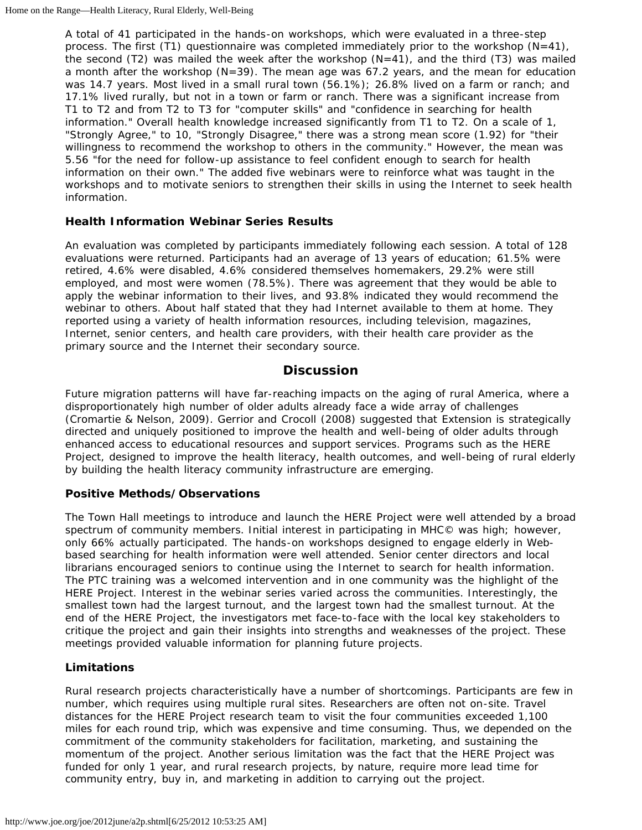A total of 41 participated in the hands-on workshops, which were evaluated in a three-step process. The first (T1) questionnaire was completed immediately prior to the workshop  $(N=41)$ , the second (T2) was mailed the week after the workshop  $(N=41)$ , and the third (T3) was mailed a month after the workshop  $(N=39)$ . The mean age was 67.2 years, and the mean for education was 14.7 years. Most lived in a small rural town (56.1%); 26.8% lived on a farm or ranch; and 17.1% lived rurally, but not in a town or farm or ranch. There was a significant increase from T1 to T2 and from T2 to T3 for "computer skills" and "confidence in searching for health information." Overall health knowledge increased significantly from T1 to T2. On a scale of 1, "Strongly Agree," to 10, "Strongly Disagree," there was a strong mean score (1.92) for "their willingness to recommend the workshop to others in the community." However, the mean was 5.56 "for the need for follow-up assistance to feel confident enough to search for health information on their own." The added five webinars were to reinforce what was taught in the workshops and to motivate seniors to strengthen their skills in using the Internet to seek health information.

## **Health Information Webinar Series Results**

An evaluation was completed by participants immediately following each session. A total of 128 evaluations were returned. Participants had an average of 13 years of education; 61.5% were retired, 4.6% were disabled, 4.6% considered themselves homemakers, 29.2% were still employed, and most were women (78.5%). There was agreement that they would be able to apply the webinar information to their lives, and 93.8% indicated they would recommend the webinar to others. About half stated that they had Internet available to them at home. They reported using a variety of health information resources, including television, magazines, Internet, senior centers, and health care providers, with their health care provider as the primary source and the Internet their secondary source.

# **Discussion**

Future migration patterns will have far-reaching impacts on the aging of rural America, where a disproportionately high number of older adults already face a wide array of challenges (Cromartie & Nelson, 2009). Gerrior and Crocoll (2008) suggested that Extension is strategically directed and uniquely positioned to improve the health and well-being of older adults through enhanced access to educational resources and support services. Programs such as the HERE Project, designed to improve the health literacy, health outcomes, and well-being of rural elderly by building the health literacy community infrastructure are emerging.

#### **Positive Methods/Observations**

The Town Hall meetings to introduce and launch the HERE Project were well attended by a broad spectrum of community members. Initial interest in participating in MHC© was high; however, only 66% actually participated. The hands-on workshops designed to engage elderly in Webbased searching for health information were well attended. Senior center directors and local librarians encouraged seniors to continue using the Internet to search for health information. The PTC training was a welcomed intervention and in one community was the highlight of the HERE Project. Interest in the webinar series varied across the communities. Interestingly, the smallest town had the largest turnout, and the largest town had the smallest turnout. At the end of the HERE Project, the investigators met face-to-face with the local key stakeholders to critique the project and gain their insights into strengths and weaknesses of the project. These meetings provided valuable information for planning future projects.

# **Limitations**

Rural research projects characteristically have a number of shortcomings. Participants are few in number, which requires using multiple rural sites. Researchers are often not on-site. Travel distances for the HERE Project research team to visit the four communities exceeded 1,100 miles for each round trip, which was expensive and time consuming. Thus, we depended on the commitment of the community stakeholders for facilitation, marketing, and sustaining the momentum of the project. Another serious limitation was the fact that the HERE Project was funded for only 1 year, and rural research projects, by nature, require more lead time for community entry, buy in, and marketing in addition to carrying out the project.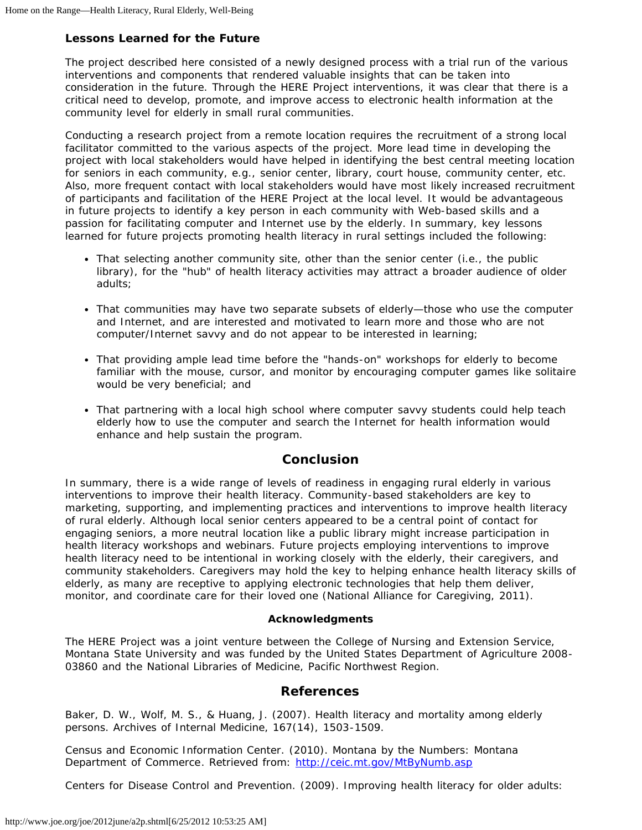#### **Lessons Learned for the Future**

The project described here consisted of a newly designed process with a trial run of the various interventions and components that rendered valuable insights that can be taken into consideration in the future. Through the HERE Project interventions, it was clear that there is a critical need to develop, promote, and improve access to electronic health information at the community level for elderly in small rural communities.

Conducting a research project from a remote location requires the recruitment of a strong local facilitator committed to the various aspects of the project. More lead time in developing the project with local stakeholders would have helped in identifying the best central meeting location for seniors in each community, e.g., senior center, library, court house, community center, etc. Also, more frequent contact with local stakeholders would have most likely increased recruitment of participants and facilitation of the HERE Project at the local level. It would be advantageous in future projects to identify a key person in each community with Web-based skills and a passion for facilitating computer and Internet use by the elderly. In summary, key lessons learned for future projects promoting health literacy in rural settings included the following:

- That selecting another community site, other than the senior center (i.e., the public library), for the "hub" of health literacy activities may attract a broader audience of older adults;
- That communities may have two separate subsets of elderly—those who use the computer and Internet, and are interested and motivated to learn more and those who are not computer/Internet savvy and do not appear to be interested in learning;
- That providing ample lead time before the "hands-on" workshops for elderly to become familiar with the mouse, cursor, and monitor by encouraging computer games like solitaire would be very beneficial; and
- That partnering with a local high school where computer savvy students could help teach elderly how to use the computer and search the Internet for health information would enhance and help sustain the program.

#### **Conclusion**

In summary, there is a wide range of levels of readiness in engaging rural elderly in various interventions to improve their health literacy. Community-based stakeholders are key to marketing, supporting, and implementing practices and interventions to improve health literacy of rural elderly. Although local senior centers appeared to be a central point of contact for engaging seniors, a more neutral location like a public library might increase participation in health literacy workshops and webinars. Future projects employing interventions to improve health literacy need to be intentional in working closely with the elderly, their caregivers, and community stakeholders. Caregivers may hold the key to helping enhance health literacy skills of elderly, as many are receptive to applying electronic technologies that help them deliver, monitor, and coordinate care for their loved one (National Alliance for Caregiving, 2011).

#### **Acknowledgments**

The HERE Project was a joint venture between the College of Nursing and Extension Service, Montana State University and was funded by the United States Department of Agriculture 2008- 03860 and the National Libraries of Medicine, Pacific Northwest Region.

#### **References**

Baker, D. W., Wolf, M. S., & Huang, J. (2007). Health literacy and mortality among elderly persons. *Archives of Internal Medicine, 167*(14), 1503-1509.

Census and Economic Information Center. (2010). *Montana by the Numbers: Montana Department of Commerce*. Retrieved from: <http://ceic.mt.gov/MtByNumb.asp>

Centers for Disease Control and Prevention. (2009). *Improving health literacy for older adults:*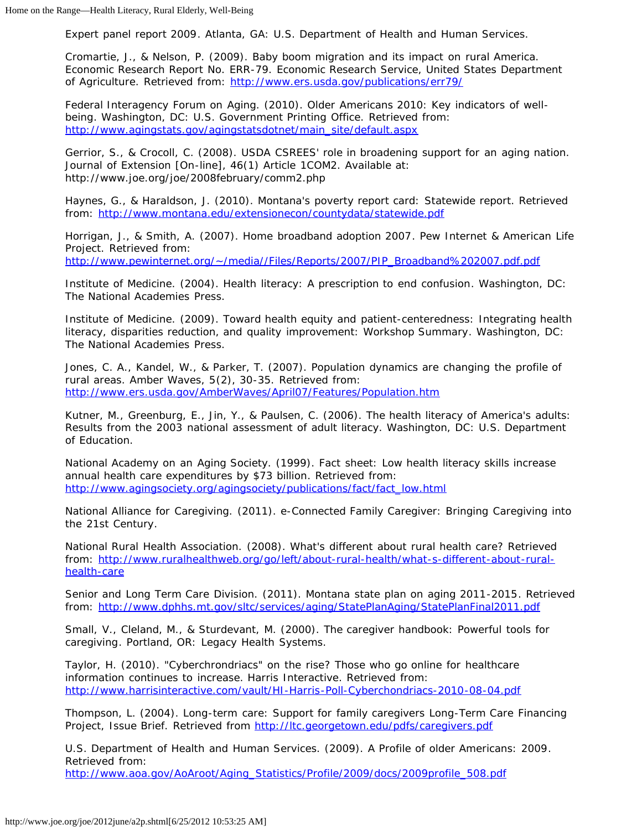*Expert panel report 2009*. Atlanta, GA: U.S. Department of Health and Human Services.

Cromartie, J., & Nelson, P. (2009). *Baby boom migration and its impact on rural America*. Economic Research Report No. ERR-79. Economic Research Service, United States Department of Agriculture. Retrieved from: <http://www.ers.usda.gov/publications/err79/>

Federal Interagency Forum on Aging. (2010). *Older Americans 2010: Key indicators of wellbeing*. Washington, DC: U.S. Government Printing Office. Retrieved from: [http://www.agingstats.gov/agingstatsdotnet/main\\_site/default.aspx](http://www.agingstats.gov/agingstatsdotnet/main_site/default.aspx)

Gerrior, S., & Crocoll, C. (2008). USDA CSREES' role in broadening support for an aging nation. *Journal of Extension* [On-line], 46(1) Article 1COM2. Available at: http://www.joe.org/joe/2008february/comm2.php

Haynes, G., & Haraldson, J. (2010). *Montana's poverty report card: Statewide report*. Retrieved from: <http://www.montana.edu/extensionecon/countydata/statewide.pdf>

Horrigan, J., & Smith, A. (2007). *Home broadband adoption 2007*. Pew Internet & American Life Project. Retrieved from: [http://www.pewinternet.org/~/media//Files/Reports/2007/PIP\\_Broadband%202007.pdf.pdf](http://www.pewinternet.org/~/media//Files/Reports/2007/PIP_Broadband%202007.pdf.pdf)

Institute of Medicine. (2004). *Health literacy: A prescription to end confusion*. Washington, DC: The National Academies Press.

Institute of Medicine. (2009). *Toward health equity and patient-centeredness: Integrating health literacy, disparities reduction, and quality improvement: Workshop Summary*. Washington, DC: The National Academies Press.

Jones, C. A., Kandel, W., & Parker, T. (2007). Population dynamics are changing the profile of rural areas. *Amber Waves, 5*(2), 30-35. Retrieved from: <http://www.ers.usda.gov/AmberWaves/April07/Features/Population.htm>

Kutner, M., Greenburg, E., Jin, Y., & Paulsen, C. (2006). *The health literacy of America's adults: Results from the 2003 national assessment of adult literacy*. Washington, DC: U.S. Department of Education.

National Academy on an Aging Society. (1999). Fact sheet: *Low health literacy skills increase annual health care expenditures by \$73 billion*. Retrieved from: [http://www.agingsociety.org/agingsociety/publications/fact/fact\\_low.html](http://www.agingsociety.org/agingsociety/publications/fact/fact_low.html)

National Alliance for Caregiving. (2011). *e-Connected Family Caregiver: Bringing Caregiving into the 21st Century*.

National Rural Health Association. (2008). What's different about rural health care? Retrieved from: [http://www.ruralhealthweb.org/go/left/about-rural-health/what-s-different-about-rural](http://www.ruralhealthweb.org/go/left/about-rural-health/what-s-different-about-rural-health-care)[health-care](http://www.ruralhealthweb.org/go/left/about-rural-health/what-s-different-about-rural-health-care)

Senior and Long Term Care Division. (2011). *Montana state plan on aging 2011-2015*. Retrieved from: <http://www.dphhs.mt.gov/sltc/services/aging/StatePlanAging/StatePlanFinal2011.pdf>

Small, V., Cleland, M., & Sturdevant, M. (2000). *The caregiver handbook: Powerful tools for caregiving*. Portland, OR: Legacy Health Systems.

Taylor, H. (2010). "Cyberchrondriacs" on the rise? Those who go online for healthcare information continues to increase. *Harris Interactive*. Retrieved from: <http://www.harrisinteractive.com/vault/HI-Harris-Poll-Cyberchondriacs-2010-08-04.pdf>

Thompson, L. (2004). Long-term care: Support for family caregivers *Long-Term Care Financing Project, Issue Brief.* Retrieved from <http://ltc.georgetown.edu/pdfs/caregivers.pdf>

U.S. Department of Health and Human Services. (2009). *A Profile of older Americans: 2009*. Retrieved from:

[http://www.aoa.gov/AoAroot/Aging\\_Statistics/Profile/2009/docs/2009profile\\_508.pdf](http://www.aoa.gov/AoAroot/Aging_Statistics/Profile/2009/docs/2009profile_508.pdf)